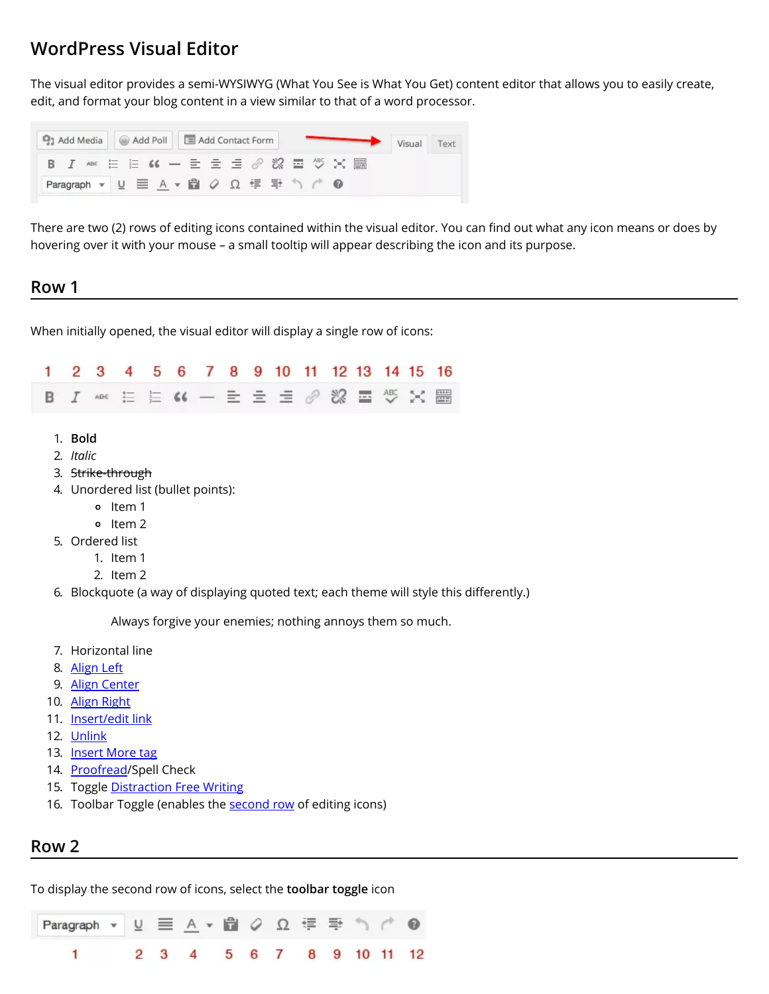# **WordPress Visual Editor**

The visual editor provides a semi-WYSIWYG (What You See is What You Get) content editor that allows you to easily create, edit, and format your blog content in a view similar to that of a word processor.

| <b>Q<sub>1</sub></b> Add Media   Add Poll   E Add Contact Form |  |                                       | Text<br>Visual |
|----------------------------------------------------------------|--|---------------------------------------|----------------|
|                                                                |  | B J # ミミ G ー ミ ミ <i>』 8</i> 8 量 ツ X 體 |                |
| Paragraph ▼ リ 三 A ▼ 自 Q Ω 年 手 う C ©                            |  |                                       |                |

There are two (2) rows of editing icons contained within the visual editor. You can find out what any icon means or does by hovering over it with your mouse – a small tooltip will appear describing the icon and its purpose.

#### **Row 1**

When initially opened, the visual editor will display a single row of icons:

|  |  |  |  | 1 2 3 4 5 6 7 8 9 10 11 12 13 14 15 16                      |  |  |  |
|--|--|--|--|-------------------------------------------------------------|--|--|--|
|  |  |  |  | <b>B I 406 三 三 K - 三 三 三 <i>0 %</i> 二 <sup>45</sup> × 圖</b> |  |  |  |

- 1. **Bold**
- 2. *Italic*
- 3. Strike-through
- 4. Unordered list (bullet points):
	- o Item 1
	- o Item 2
- 5. Ordered list
	- 1. Item 1
	- 2. Item 2
- 6. Blockquote (a way of displaying quoted text; each theme will style this differently.)

Always forgive your enemies; nothing annoys them so much.

- 7. Horizontal line
- 8. [Align](#page-1-0) Left
- 9. Align [Center](#page-1-0)
- 10. Align [Right](#page-1-0)
- 11. [Insert/edit](http://support.wordpress.com/links/#how-to-create-links-with-the-visual-editor) link
- 12. [Unlink](http://support.wordpress.com/links/#removing-links)
- 13. [Insert](http://support.wordpress.com/splitting-content/more-tag/) More tag
- 14. [Proofread/](https://en.support.wordpress.com/proofreading/)Spell Check
- 15. Toggle [Distraction](http://support.wordpress.com/distraction-free-writing/) Free Writing
- 16. Toolbar Toggle (enables the [second](#page-0-0) row of editing icons)

#### <span id="page-0-0"></span>**Row 2**

To display the second row of icons, select the **toolbar toggle** icon

尙 钜 ≡∗ Paragraph + Ω 1  $\overline{a}$ 3  $\overline{4}$ 5 6 7 8 9  $10$  11  $12$